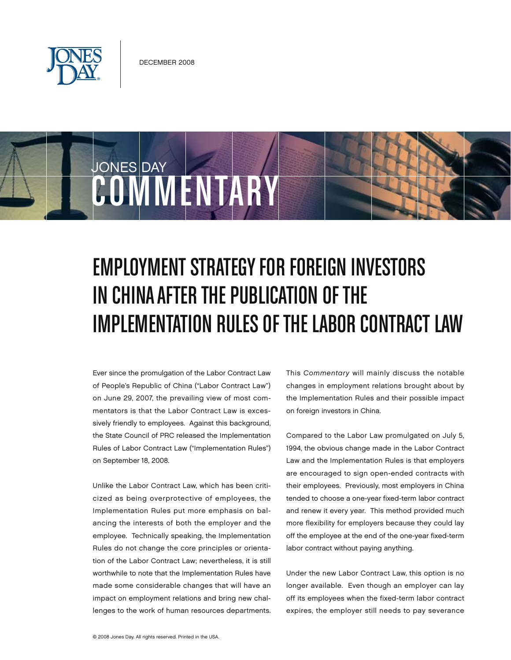

COMMENTARY

JONES DAY

## **EMPLOYMENT STRATEGY FOR FOREIGN INVESTORS** IN CHINA AFTER THE PUBLICATION OF THE IMPLEMENTATION RULES OF THE LABOR CONTRACT LAW

Ever since the promulgation of the Labor Contract Law of People's Republic of China ("Labor Contract Law") on June 29, 2007, the prevailing view of most commentators is that the Labor Contract Law is excessively friendly to employees. Against this background, the State Council of PRC released the Implementation Rules of Labor Contract Law ("Implementation Rules") on September 18, 2008.

Unlike the Labor Contract Law, which has been criticized as being overprotective of employees, the Implementation Rules put more emphasis on balancing the interests of both the employer and the employee. Technically speaking, the Implementation Rules do not change the core principles or orientation of the Labor Contract Law; nevertheless, it is still worthwhile to note that the Implementation Rules have made some considerable changes that will have an impact on employment relations and bring new challenges to the work of human resources departments. This *Commentary* will mainly discuss the notable changes in employment relations brought about by the Implementation Rules and their possible impact on foreign investors in China.

Compared to the Labor Law promulgated on July 5, 1994, the obvious change made in the Labor Contract Law and the Implementation Rules is that employers are encouraged to sign open-ended contracts with their employees. Previously, most employers in China tended to choose a one-year fixed-term labor contract and renew it every year. This method provided much more flexibility for employers because they could lay off the employee at the end of the one-year fixed-term labor contract without paying anything.

Under the new Labor Contract Law, this option is no longer available. Even though an employer can lay off its employees when the fixed-term labor contract expires, the employer still needs to pay severance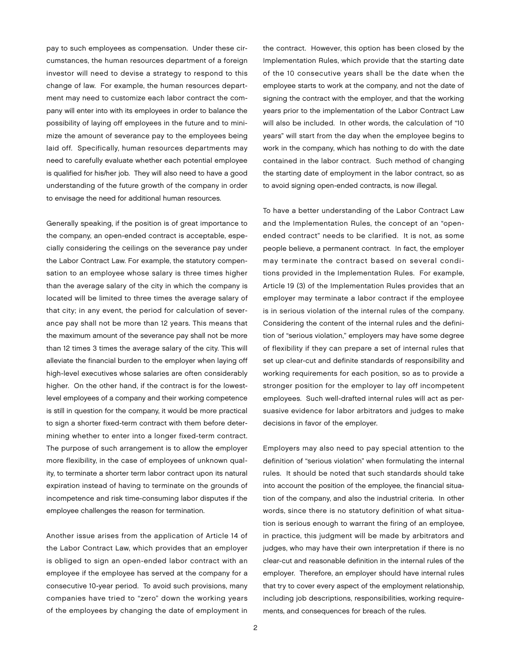pay to such employees as compensation. Under these circumstances, the human resources department of a foreign investor will need to devise a strategy to respond to this change of law. For example, the human resources department may need to customize each labor contract the company will enter into with its employees in order to balance the possibility of laying off employees in the future and to minimize the amount of severance pay to the employees being laid off. Specifically, human resources departments may need to carefully evaluate whether each potential employee is qualified for his/her job. They will also need to have a good understanding of the future growth of the company in order to envisage the need for additional human resources.

Generally speaking, if the position is of great importance to the company, an open-ended contract is acceptable, especially considering the ceilings on the severance pay under the Labor Contract Law. For example, the statutory compensation to an employee whose salary is three times higher than the average salary of the city in which the company is located will be limited to three times the average salary of that city; in any event, the period for calculation of severance pay shall not be more than 12 years. This means that the maximum amount of the severance pay shall not be more than 12 times 3 times the average salary of the city. This will alleviate the financial burden to the employer when laying off high-level executives whose salaries are often considerably higher. On the other hand, if the contract is for the lowestlevel employees of a company and their working competence is still in question for the company, it would be more practical to sign a shorter fixed-term contract with them before determining whether to enter into a longer fixed-term contract. The purpose of such arrangement is to allow the employer more flexibility, in the case of employees of unknown quality, to terminate a shorter term labor contract upon its natural expiration instead of having to terminate on the grounds of incompetence and risk time-consuming labor disputes if the employee challenges the reason for termination.

Another issue arises from the application of Article 14 of the Labor Contract Law, which provides that an employer is obliged to sign an open-ended labor contract with an employee if the employee has served at the company for a consecutive 10-year period. To avoid such provisions, many companies have tried to "zero" down the working years of the employees by changing the date of employment in

the contract. However, this option has been closed by the Implementation Rules, which provide that the starting date of the 10 consecutive years shall be the date when the employee starts to work at the company, and not the date of signing the contract with the employer, and that the working years prior to the implementation of the Labor Contract Law will also be included. In other words, the calculation of "10 years" will start from the day when the employee begins to work in the company, which has nothing to do with the date contained in the labor contract. Such method of changing the starting date of employment in the labor contract, so as to avoid signing open-ended contracts, is now illegal.

To have a better understanding of the Labor Contract Law and the Implementation Rules, the concept of an "openended contract" needs to be clarified. It is not, as some people believe, a permanent contract. In fact, the employer may terminate the contract based on several conditions provided in the Implementation Rules. For example, Article 19 (3) of the Implementation Rules provides that an employer may terminate a labor contract if the employee is in serious violation of the internal rules of the company. Considering the content of the internal rules and the definition of "serious violation," employers may have some degree of flexibility if they can prepare a set of internal rules that set up clear-cut and definite standards of responsibility and working requirements for each position, so as to provide a stronger position for the employer to lay off incompetent employees. Such well-drafted internal rules will act as persuasive evidence for labor arbitrators and judges to make decisions in favor of the employer.

Employers may also need to pay special attention to the definition of "serious violation" when formulating the internal rules. It should be noted that such standards should take into account the position of the employee, the financial situation of the company, and also the industrial criteria. In other words, since there is no statutory definition of what situation is serious enough to warrant the firing of an employee, in practice, this judgment will be made by arbitrators and judges, who may have their own interpretation if there is no clear-cut and reasonable definition in the internal rules of the employer. Therefore, an employer should have internal rules that try to cover every aspect of the employment relationship, including job descriptions, responsibilities, working requirements, and consequences for breach of the rules.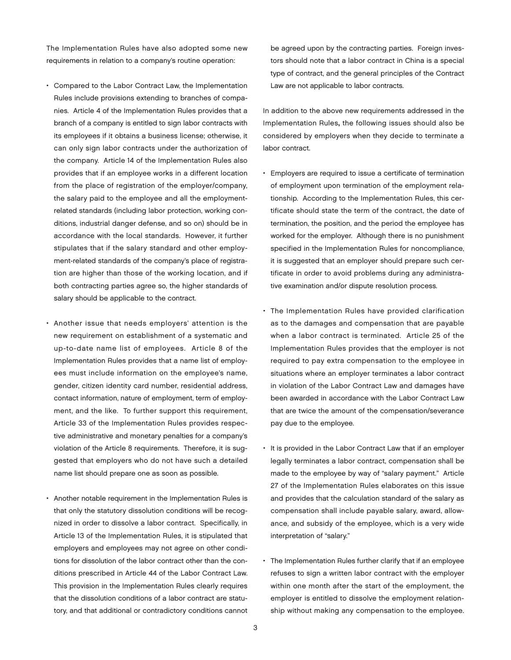The Implementation Rules have also adopted some new requirements in relation to a company's routine operation:

- Compared to the Labor Contract Law, the Implementation Rules include provisions extending to branches of companies. Article 4 of the Implementation Rules provides that a branch of a company is entitled to sign labor contracts with its employees if it obtains a business license; otherwise, it can only sign labor contracts under the authorization of the company. Article 14 of the Implementation Rules also provides that if an employee works in a different location from the place of registration of the employer/company, the salary paid to the employee and all the employmentrelated standards (including labor protection, working conditions, industrial danger defense, and so on) should be in accordance with the local standards. However, it further stipulates that if the salary standard and other employment-related standards of the company's place of registration are higher than those of the working location, and if both contracting parties agree so, the higher standards of salary should be applicable to the contract.
- • Another issue that needs employers' attention is the new requirement on establishment of a systematic and up-to-date name list of employees. Article 8 of the Implementation Rules provides that a name list of employees must include information on the employee's name, gender, citizen identity card number, residential address, contact information, nature of employment, term of employment, and the like. To further support this requirement, Article 33 of the Implementation Rules provides respective administrative and monetary penalties for a company's violation of the Article 8 requirements. Therefore, it is suggested that employers who do not have such a detailed name list should prepare one as soon as possible.
- Another notable requirement in the Implementation Rules is that only the statutory dissolution conditions will be recognized in order to dissolve a labor contract. Specifically, in Article 13 of the Implementation Rules, it is stipulated that employers and employees may not agree on other conditions for dissolution of the labor contract other than the conditions prescribed in Article 44 of the Labor Contract Law. This provision in the Implementation Rules clearly requires that the dissolution conditions of a labor contract are statutory, and that additional or contradictory conditions cannot

be agreed upon by the contracting parties. Foreign investors should note that a labor contract in China is a special type of contract, and the general principles of the Contract Law are not applicable to labor contracts.

In addition to the above new requirements addressed in the Implementation Rules, the following issues should also be considered by employers when they decide to terminate a labor contract.

- • Employers are required to issue a certificate of termination of employment upon termination of the employment relationship. According to the Implementation Rules, this certificate should state the term of the contract, the date of termination, the position, and the period the employee has worked for the employer. Although there is no punishment specified in the Implementation Rules for noncompliance, it is suggested that an employer should prepare such certificate in order to avoid problems during any administrative examination and/or dispute resolution process.
- The Implementation Rules have provided clarification as to the damages and compensation that are payable when a labor contract is terminated. Article 25 of the Implementation Rules provides that the employer is not required to pay extra compensation to the employee in situations where an employer terminates a labor contract in violation of the Labor Contract Law and damages have been awarded in accordance with the Labor Contract Law that are twice the amount of the compensation/severance pay due to the employee.
- It is provided in the Labor Contract Law that if an employer legally terminates a labor contract, compensation shall be made to the employee by way of "salary payment." Article 27 of the Implementation Rules elaborates on this issue and provides that the calculation standard of the salary as compensation shall include payable salary, award, allowance, and subsidy of the employee, which is a very wide interpretation of "salary."
- The Implementation Rules further clarify that if an employee refuses to sign a written labor contract with the employer within one month after the start of the employment, the employer is entitled to dissolve the employment relationship without making any compensation to the employee.